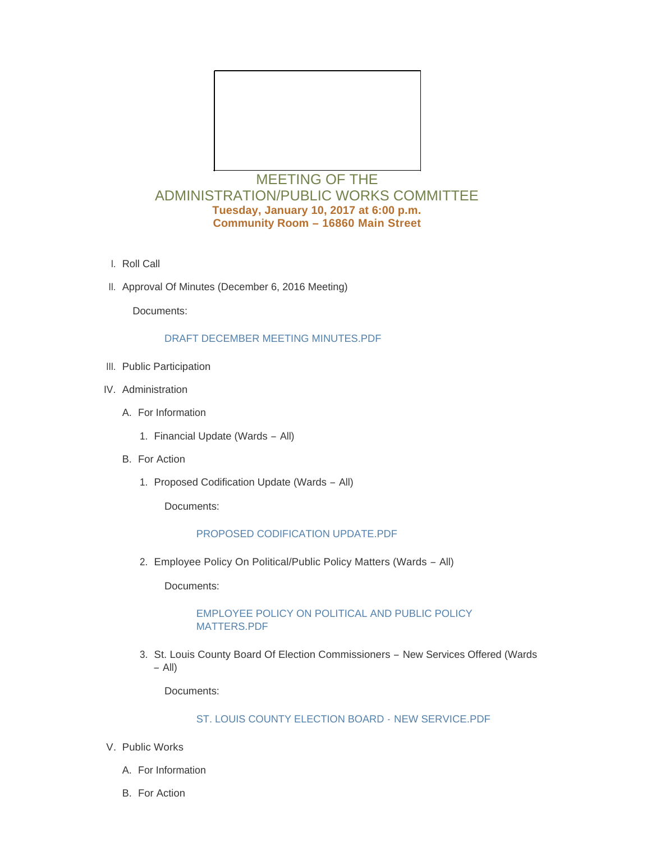

# MEETING OF THE ADMINISTRATION/PUBLIC WORKS COMMITTEE **Tuesday, January 10, 2017 at 6:00 p.m. Community Room – 16860 Main Street**

- l. Roll Call
- II. Approval Of Minutes (December 6, 2016 Meeting)

Documents:

## [DRAFT DECEMBER MEETING MINUTES.PDF](http://cityofwildwood.com/AgendaCenter/ViewFile/Item/9426?fileID=13744)

- III. Public Participation
- IV. Administration
	- A. For Information
		- 1. Financial Update (Wards All)
	- **B.** For Action
		- 1. Proposed Codification Update (Wards All)

Documents:

#### [PROPOSED CODIFICATION UPDATE.PDF](http://cityofwildwood.com/AgendaCenter/ViewFile/Item/9432?fileID=13745)

Employee Policy On Political/Public Policy Matters (Wards – All) 2.

Documents:

## [EMPLOYEE POLICY ON POLITICAL AND PUBLIC POLICY](http://cityofwildwood.com/AgendaCenter/ViewFile/Item/9433?fileID=13746)  MATTERS.PDF

3. St. Louis County Board Of Election Commissioners - New Services Offered (Wards – All)

Documents:

## [ST. LOUIS COUNTY ELECTION BOARD -](http://cityofwildwood.com/AgendaCenter/ViewFile/Item/9434?fileID=13747) NEW SERVICE.PDF

- V. Public Works
	- A. For Information
	- **B.** For Action